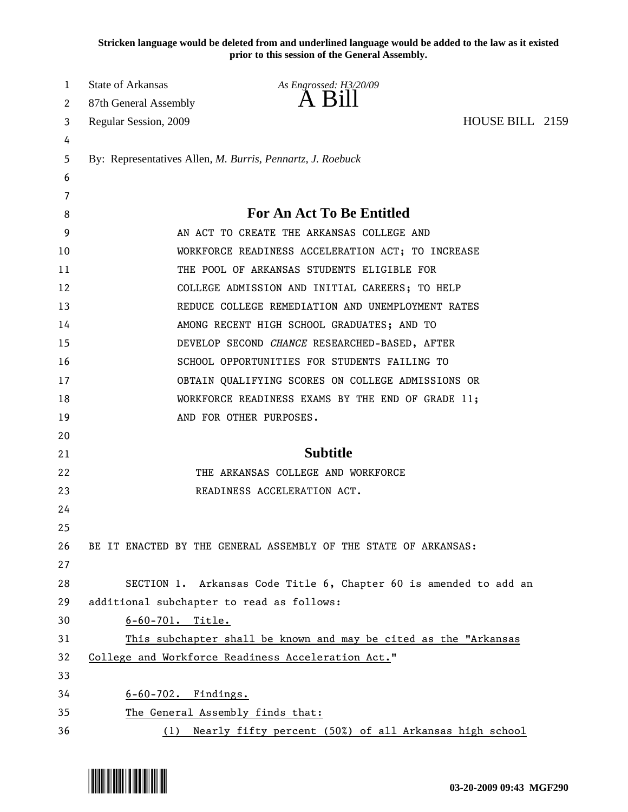**Stricken language would be deleted from and underlined language would be added to the law as it existed prior to this session of the General Assembly.**

| 1        | <b>State of Arkansas</b>                                                                                       | As Engrossed: H3/20/09                                          |                 |  |
|----------|----------------------------------------------------------------------------------------------------------------|-----------------------------------------------------------------|-----------------|--|
| 2        | 87th General Assembly                                                                                          | $A$ Bill                                                        |                 |  |
| 3        | Regular Session, 2009                                                                                          |                                                                 | HOUSE BILL 2159 |  |
| 4        |                                                                                                                |                                                                 |                 |  |
| 5        | By: Representatives Allen, M. Burris, Pennartz, J. Roebuck                                                     |                                                                 |                 |  |
| 6        |                                                                                                                |                                                                 |                 |  |
| 7        |                                                                                                                |                                                                 |                 |  |
| 8        | <b>For An Act To Be Entitled</b>                                                                               |                                                                 |                 |  |
| 9        | AN ACT TO CREATE THE ARKANSAS COLLEGE AND                                                                      |                                                                 |                 |  |
| 10       | WORKFORCE READINESS ACCELERATION ACT; TO INCREASE                                                              |                                                                 |                 |  |
| 11       | THE POOL OF ARKANSAS STUDENTS ELIGIBLE FOR                                                                     |                                                                 |                 |  |
| 12       | COLLEGE ADMISSION AND INITIAL CAREERS; TO HELP                                                                 |                                                                 |                 |  |
| 13       | REDUCE COLLEGE REMEDIATION AND UNEMPLOYMENT RATES                                                              |                                                                 |                 |  |
| 14       | AMONG RECENT HIGH SCHOOL GRADUATES; AND TO                                                                     |                                                                 |                 |  |
| 15       | DEVELOP SECOND CHANCE RESEARCHED-BASED, AFTER                                                                  |                                                                 |                 |  |
| 16       | SCHOOL OPPORTUNITIES FOR STUDENTS FAILING TO                                                                   |                                                                 |                 |  |
| 17       | OBTAIN QUALIFYING SCORES ON COLLEGE ADMISSIONS OR                                                              |                                                                 |                 |  |
| 18       | WORKFORCE READINESS EXAMS BY THE END OF GRADE 11;                                                              |                                                                 |                 |  |
| 19       |                                                                                                                | AND FOR OTHER PURPOSES.                                         |                 |  |
| 20       |                                                                                                                |                                                                 |                 |  |
| 21       | <b>Subtitle</b>                                                                                                |                                                                 |                 |  |
| 22       | THE ARKANSAS COLLEGE AND WORKFORCE                                                                             |                                                                 |                 |  |
| 23       |                                                                                                                | READINESS ACCELERATION ACT.                                     |                 |  |
| 24       |                                                                                                                |                                                                 |                 |  |
| 25       |                                                                                                                |                                                                 |                 |  |
| 26       |                                                                                                                | BE IT ENACTED BY THE GENERAL ASSEMBLY OF THE STATE OF ARKANSAS: |                 |  |
| 27<br>28 |                                                                                                                |                                                                 |                 |  |
| 29       | SECTION 1. Arkansas Code Title 6, Chapter 60 is amended to add an<br>additional subchapter to read as follows: |                                                                 |                 |  |
| 30       | $6 - 60 - 701$ . Title.                                                                                        |                                                                 |                 |  |
| 31       | This subchapter shall be known and may be cited as the "Arkansas                                               |                                                                 |                 |  |
| 32       | College and Workforce Readiness Acceleration Act."                                                             |                                                                 |                 |  |
| 33       |                                                                                                                |                                                                 |                 |  |
| 34       | $6-60-702$ . Findings.                                                                                         |                                                                 |                 |  |
| 35       | The General Assembly finds that:                                                                               |                                                                 |                 |  |
| 36       | Nearly fifty percent (50%) of all Arkansas high school<br>(1)                                                  |                                                                 |                 |  |